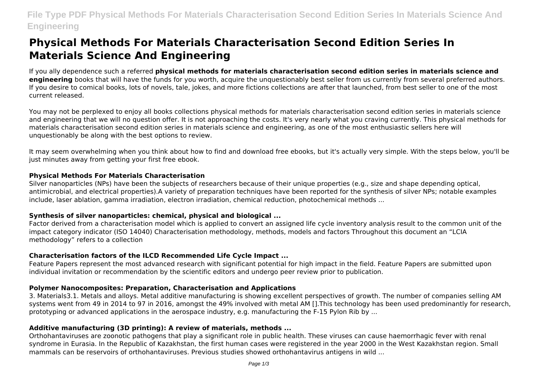# **File Type PDF Physical Methods For Materials Characterisation Second Edition Series In Materials Science And Engineering**

# **Physical Methods For Materials Characterisation Second Edition Series In Materials Science And Engineering**

If you ally dependence such a referred **physical methods for materials characterisation second edition series in materials science and engineering** books that will have the funds for you worth, acquire the unquestionably best seller from us currently from several preferred authors. If you desire to comical books, lots of novels, tale, jokes, and more fictions collections are after that launched, from best seller to one of the most current released.

You may not be perplexed to enjoy all books collections physical methods for materials characterisation second edition series in materials science and engineering that we will no question offer. It is not approaching the costs. It's very nearly what you craving currently. This physical methods for materials characterisation second edition series in materials science and engineering, as one of the most enthusiastic sellers here will unquestionably be along with the best options to review.

It may seem overwhelming when you think about how to find and download free ebooks, but it's actually very simple. With the steps below, you'll be just minutes away from getting your first free ebook.

#### **Physical Methods For Materials Characterisation**

Silver nanoparticles (NPs) have been the subjects of researchers because of their unique properties (e.g., size and shape depending optical, antimicrobial, and electrical properties).A variety of preparation techniques have been reported for the synthesis of silver NPs; notable examples include, laser ablation, gamma irradiation, electron irradiation, chemical reduction, photochemical methods ...

## **Synthesis of silver nanoparticles: chemical, physical and biological ...**

Factor derived from a characterisation model which is applied to convert an assigned life cycle inventory analysis result to the common unit of the impact category indicator (ISO 14040) Characterisation methodology, methods, models and factors Throughout this document an "LCIA methodology" refers to a collection

## **Characterisation factors of the ILCD Recommended Life Cycle Impact ...**

Feature Papers represent the most advanced research with significant potential for high impact in the field. Feature Papers are submitted upon individual invitation or recommendation by the scientific editors and undergo peer review prior to publication.

#### **Polymer Nanocomposites: Preparation, Characterisation and Applications**

3. Materials3.1. Metals and alloys. Metal additive manufacturing is showing excellent perspectives of growth. The number of companies selling AM systems went from 49 in 2014 to 97 in 2016, amongst the 49% involved with metal AM [].This technology has been used predominantly for research, prototyping or advanced applications in the aerospace industry, e.g. manufacturing the F-15 Pylon Rib by ...

## **Additive manufacturing (3D printing): A review of materials, methods ...**

Orthohantaviruses are zoonotic pathogens that play a significant role in public health. These viruses can cause haemorrhagic fever with renal syndrome in Eurasia. In the Republic of Kazakhstan, the first human cases were registered in the year 2000 in the West Kazakhstan region. Small mammals can be reservoirs of orthohantaviruses. Previous studies showed orthohantavirus antigens in wild ...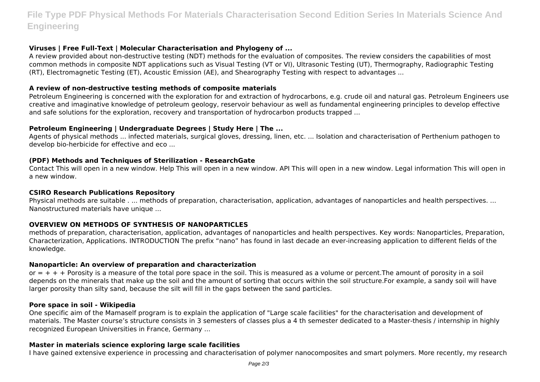# **File Type PDF Physical Methods For Materials Characterisation Second Edition Series In Materials Science And Engineering**

#### **Viruses | Free Full-Text | Molecular Characterisation and Phylogeny of ...**

A review provided about non-destructive testing (NDT) methods for the evaluation of composites. The review considers the capabilities of most common methods in composite NDT applications such as Visual Testing (VT or VI), Ultrasonic Testing (UT), Thermography, Radiographic Testing (RT), Electromagnetic Testing (ET), Acoustic Emission (AE), and Shearography Testing with respect to advantages ...

#### **A review of non-destructive testing methods of composite materials**

Petroleum Engineering is concerned with the exploration for and extraction of hydrocarbons, e.g. crude oil and natural gas. Petroleum Engineers use creative and imaginative knowledge of petroleum geology, reservoir behaviour as well as fundamental engineering principles to develop effective and safe solutions for the exploration, recovery and transportation of hydrocarbon products trapped ...

#### **Petroleum Engineering | Undergraduate Degrees | Study Here | The ...**

Agents of physical methods ... infected materials, surgical gloves, dressing, linen, etc. ... Isolation and characterisation of Perthenium pathogen to develop bio-herbicide for effective and eco ...

#### **(PDF) Methods and Techniques of Sterilization - ResearchGate**

Contact This will open in a new window. Help This will open in a new window. API This will open in a new window. Legal information This will open in a new window.

#### **CSIRO Research Publications Repository**

Physical methods are suitable . ... methods of preparation, characterisation, application, advantages of nanoparticles and health perspectives. ... Nanostructured materials have unique ...

## **OVERVIEW ON METHODS OF SYNTHESIS OF NANOPARTICLES**

methods of preparation, characterisation, application, advantages of nanoparticles and health perspectives. Key words: Nanoparticles, Preparation, Characterization, Applications. INTRODUCTION The prefix "nano" has found in last decade an ever-increasing application to different fields of the knowledge.

#### **Nanoparticle: An overview of preparation and characterization**

or  $= + + +$  Porosity is a measure of the total pore space in the soil. This is measured as a volume or percent. The amount of porosity in a soil depends on the minerals that make up the soil and the amount of sorting that occurs within the soil structure.For example, a sandy soil will have larger porosity than silty sand, because the silt will fill in the gaps between the sand particles.

#### **Pore space in soil - Wikipedia**

One specific aim of the Mamaself program is to explain the application of "Large scale facilities" for the characterisation and development of materials. The Master course's structure consists in 3 semesters of classes plus a 4 th semester dedicated to a Master-thesis / internship in highly recognized European Universities in France, Germany ...

#### **Master in materials science exploring large scale facilities**

I have gained extensive experience in processing and characterisation of polymer nanocomposites and smart polymers. More recently, my research